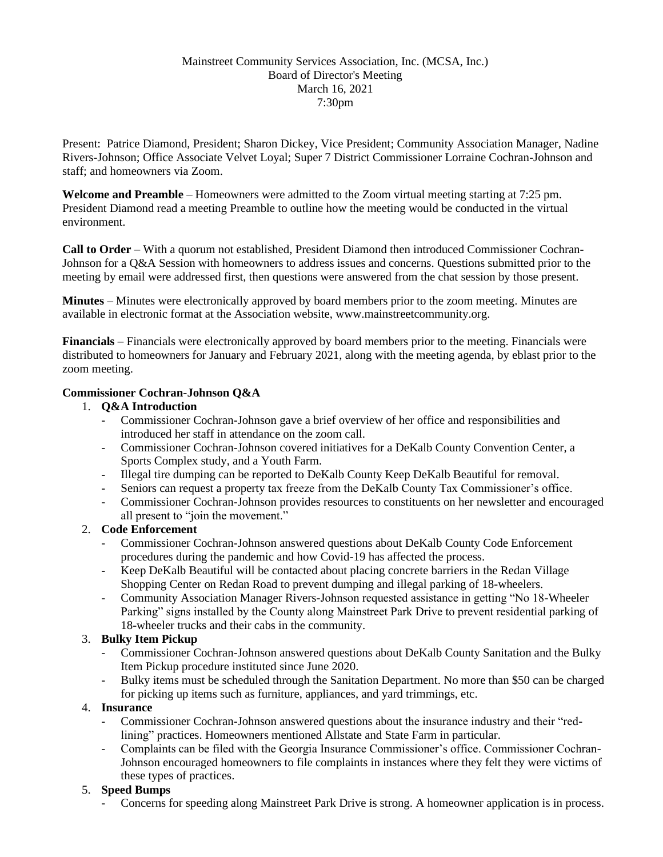## Mainstreet Community Services Association, Inc. (MCSA, Inc.) Board of Director's Meeting March 16, 2021 7:30pm

Present: Patrice Diamond, President; Sharon Dickey, Vice President; Community Association Manager, Nadine Rivers-Johnson; Office Associate Velvet Loyal; Super 7 District Commissioner Lorraine Cochran-Johnson and staff; and homeowners via Zoom.

**Welcome and Preamble** – Homeowners were admitted to the Zoom virtual meeting starting at 7:25 pm. President Diamond read a meeting Preamble to outline how the meeting would be conducted in the virtual environment.

**Call to Order** – With a quorum not established, President Diamond then introduced Commissioner Cochran-Johnson for a Q&A Session with homeowners to address issues and concerns. Questions submitted prior to the meeting by email were addressed first, then questions were answered from the chat session by those present.

**Minutes** – Minutes were electronically approved by board members prior to the zoom meeting. Minutes are available in electronic format at the Association website, www.mainstreetcommunity.org.

**Financials** – Financials were electronically approved by board members prior to the meeting. Financials were distributed to homeowners for January and February 2021, along with the meeting agenda, by eblast prior to the zoom meeting.

# **Commissioner Cochran-Johnson Q&A**

# 1. **Q&A Introduction**

- Commissioner Cochran-Johnson gave a brief overview of her office and responsibilities and introduced her staff in attendance on the zoom call.
- Commissioner Cochran-Johnson covered initiatives for a DeKalb County Convention Center, a Sports Complex study, and a Youth Farm.
- Illegal tire dumping can be reported to DeKalb County Keep DeKalb Beautiful for removal.
- Seniors can request a property tax freeze from the DeKalb County Tax Commissioner's office.
- Commissioner Cochran-Johnson provides resources to constituents on her newsletter and encouraged all present to "join the movement."

### 2. **Code Enforcement**

- Commissioner Cochran-Johnson answered questions about DeKalb County Code Enforcement procedures during the pandemic and how Covid-19 has affected the process.
- Keep DeKalb Beautiful will be contacted about placing concrete barriers in the Redan Village Shopping Center on Redan Road to prevent dumping and illegal parking of 18-wheelers.
- Community Association Manager Rivers-Johnson requested assistance in getting "No 18-Wheeler Parking" signs installed by the County along Mainstreet Park Drive to prevent residential parking of 18-wheeler trucks and their cabs in the community.

# 3. **Bulky Item Pickup**

- Commissioner Cochran-Johnson answered questions about DeKalb County Sanitation and the Bulky Item Pickup procedure instituted since June 2020.
- Bulky items must be scheduled through the Sanitation Department. No more than \$50 can be charged for picking up items such as furniture, appliances, and yard trimmings, etc.

## 4. **Insurance**

- Commissioner Cochran-Johnson answered questions about the insurance industry and their "redlining" practices. Homeowners mentioned Allstate and State Farm in particular.
- Complaints can be filed with the Georgia Insurance Commissioner's office. Commissioner Cochran-Johnson encouraged homeowners to file complaints in instances where they felt they were victims of these types of practices.

# 5. **Speed Bumps**

Concerns for speeding along Mainstreet Park Drive is strong. A homeowner application is in process.